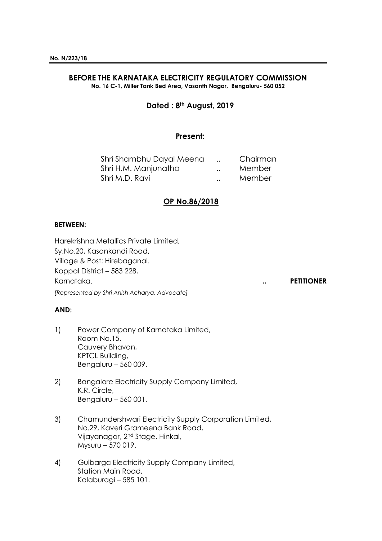# **BEFORE THE KARNATAKA ELECTRICITY REGULATORY COMMISSION**

**No. 16 C-1, Miller Tank Bed Area, Vasanth Nagar, Bengaluru- 560 052**

# **Dated : 8th August, 2019**

#### **Present:**

| Shri Shambhu Dayal Meena |                      | Chairman |
|--------------------------|----------------------|----------|
| Shri H.M. Manjunatha     | $\ddot{\phantom{a}}$ | Member   |
| Shri M.D. Ravi           | $\ddot{\phantom{a}}$ | Member   |

# **OP No.86/2018**

#### **BETWEEN:**

Harekrishna Metallics Private Limited, Sy.No.20, Kasankandi Road, Village & Post: Hirebaganal. Koppal District – 583 228, Karnataka. **.. PETITIONER**

*[Represented by Shri Anish Acharya, Advocate]*

#### **AND:**

- 1) Power Company of Karnataka Limited, Room No.15, Cauvery Bhavan, KPTCL Building, Bengaluru – 560 009.
- 2) Bangalore Electricity Supply Company Limited, K.R. Circle, Bengaluru – 560 001.
- 3) Chamundershwari Electricity Supply Corporation Limited, No.29, Kaveri Grameena Bank Road, Vijayanagar, 2nd Stage, Hinkal, Mysuru – 570 019.
- 4) Gulbarga Electricity Supply Company Limited, Station Main Road, Kalaburagi – 585 101.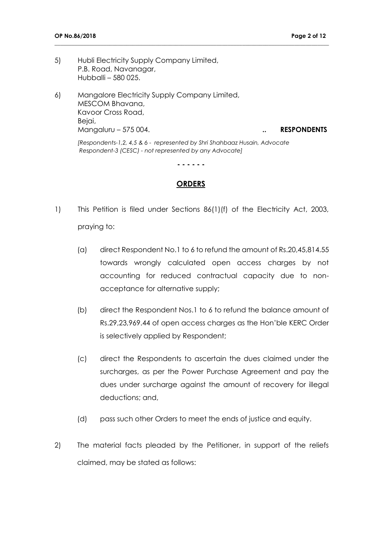- 5) Hubli Electricity Supply Company Limited, P.B. Road, Navanagar, Hubballi – 580 025.
- 6) Mangalore Electricity Supply Company Limited, MESCOM Bhavana, Kavoor Cross Road, Bejai, Mangaluru – 575 004. **.. RESPONDENTS**

**\_\_\_\_\_\_\_\_\_\_\_\_\_\_\_\_\_\_\_\_\_\_\_\_\_\_\_\_\_\_\_\_\_\_\_\_\_\_\_\_\_\_\_\_\_\_\_\_\_\_\_\_\_\_\_\_\_\_\_\_\_\_\_\_\_\_\_\_\_\_\_\_\_\_\_\_\_\_\_\_\_\_\_\_\_\_\_\_\_\_\_\_\_\_\_**

*[Respondents-1,2, 4,5 & 6 - represented by Shri Shahbaaz Husain, Advocate Respondent-3 (CESC) - not represented by any Advocate]*

**- - - - - -**

#### **ORDERS**

- 1) This Petition is filed under Sections 86(1)(f) of the Electricity Act, 2003, praying to:
	- (a) direct Respondent No.1 to 6 to refund the amount of Rs.20,45,814.55 towards wrongly calculated open access charges by not accounting for reduced contractual capacity due to nonacceptance for alternative supply;
	- (b) direct the Respondent Nos.1 to 6 to refund the balance amount of Rs.29,23,969.44 of open access charges as the Hon'ble KERC Order is selectively applied by Respondent;
	- (c) direct the Respondents to ascertain the dues claimed under the surcharges, as per the Power Purchase Agreement and pay the dues under surcharge against the amount of recovery for illegal deductions; and,
	- (d) pass such other Orders to meet the ends of justice and equity.
- 2) The material facts pleaded by the Petitioner, in support of the reliefs claimed, may be stated as follows: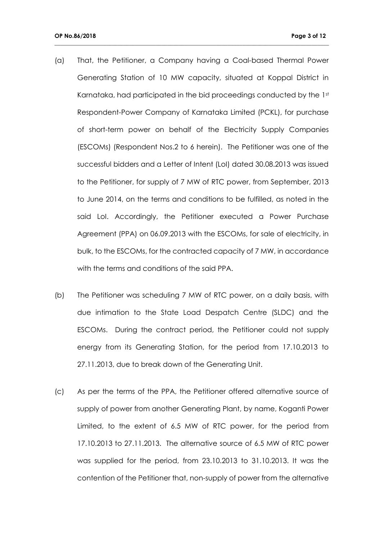(a) That, the Petitioner, a Company having a Coal-based Thermal Power Generating Station of 10 MW capacity, situated at Koppal District in Karnataka, had participated in the bid proceedings conducted by the 1st Respondent-Power Company of Karnataka Limited (PCKL), for purchase of short-term power on behalf of the Electricity Supply Companies (ESCOMs) (Respondent Nos.2 to 6 herein). The Petitioner was one of the successful bidders and a Letter of Intent (LoI) dated 30.08.2013 was issued to the Petitioner, for supply of 7 MW of RTC power, from September, 2013 to June 2014, on the terms and conditions to be fulfilled, as noted in the said LoI. Accordingly, the Petitioner executed a Power Purchase Agreement (PPA) on 06.09.2013 with the ESCOMs, for sale of electricity, in bulk, to the ESCOMs, for the contracted capacity of 7 MW, in accordance with the terms and conditions of the said PPA.

- (b) The Petitioner was scheduling 7 MW of RTC power, on a daily basis, with due intimation to the State Load Despatch Centre (SLDC) and the ESCOMs. During the contract period, the Petitioner could not supply energy from its Generating Station, for the period from 17.10.2013 to 27.11.2013, due to break down of the Generating Unit.
- (c) As per the terms of the PPA, the Petitioner offered alternative source of supply of power from another Generating Plant, by name, Koganti Power Limited, to the extent of 6.5 MW of RTC power, for the period from 17.10.2013 to 27.11.2013. The alternative source of 6.5 MW of RTC power was supplied for the period, from 23.10.2013 to 31.10.2013. It was the contention of the Petitioner that, non-supply of power from the alternative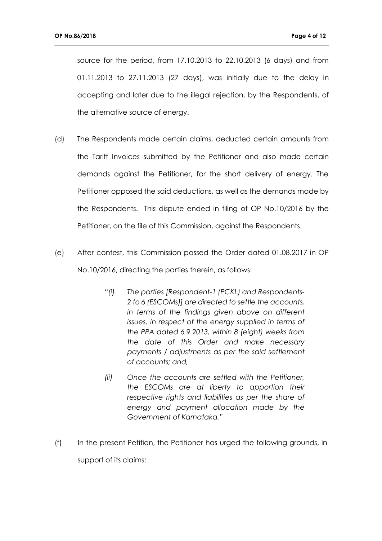source for the period, from 17.10.2013 to 22.10.2013 (6 days) and from 01.11.2013 to 27.11.2013 (27 days), was initially due to the delay in accepting and later due to the illegal rejection, by the Respondents, of the alternative source of energy.

- (d) The Respondents made certain claims, deducted certain amounts from the Tariff Invoices submitted by the Petitioner and also made certain demands against the Petitioner, for the short delivery of energy. The Petitioner opposed the said deductions, as well as the demands made by the Respondents. This dispute ended in filing of OP No.10/2016 by the Petitioner, on the file of this Commission, against the Respondents.
- (e) After contest, this Commission passed the Order dated 01.08.2017 in OP No.10/2016, directing the parties therein, as follows:
	- *"(i) The parties [Respondent-1 (PCKL) and Respondents-2 to 6 (ESCOMs)] are directed to settle the accounts, in terms of the findings given above on different issues, in respect of the energy supplied in terms of the PPA dated 6.9.2013, within 8 (eight) weeks from the date of this Order and make necessary payments / adjustments as per the said settlement of accounts; and,*
	- *(ii) Once the accounts are settled with the Petitioner, the ESCOMs are at liberty to apportion their respective rights and liabilities as per the share of energy and payment allocation made by the Government of Karnataka."*
- (f) In the present Petition, the Petitioner has urged the following grounds, in support of its claims: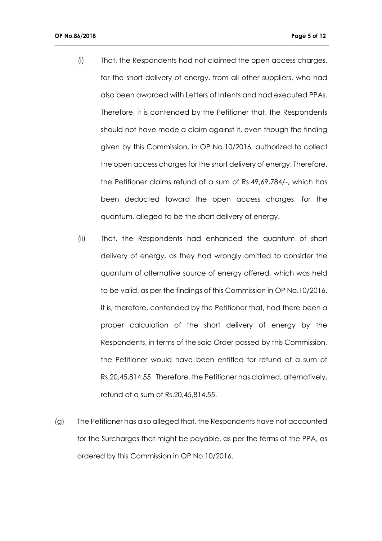(i) That, the Respondents had not claimed the open access charges, for the short delivery of energy, from all other suppliers, who had also been awarded with Letters of Intents and had executed PPAs. Therefore, it is contended by the Petitioner that, the Respondents should not have made a claim against it, even though the finding given by this Commission, in OP No.10/2016, authorized to collect the open access charges for the short delivery of energy. Therefore, the Petitioner claims refund of a sum of Rs.49,69,784/-, which has been deducted toward the open access charges, for the quantum, alleged to be the short delivery of energy.

- (ii) That, the Respondents had enhanced the quantum of short delivery of energy, as they had wrongly omitted to consider the quantum of alternative source of energy offered, which was held to be valid, as per the findings of this Commission in OP No.10/2016. It is, therefore, contended by the Petitioner that, had there been a proper calculation of the short delivery of energy by the Respondents, in terms of the said Order passed by this Commission, the Petitioner would have been entitled for refund of a sum of Rs.20,45,814.55. Therefore, the Petitioner has claimed, alternatively, refund of a sum of Rs.20,45,814.55.
- (g) The Petitioner has also alleged that, the Respondents have not accounted for the Surcharges that might be payable, as per the terms of the PPA, as ordered by this Commission in OP No.10/2016.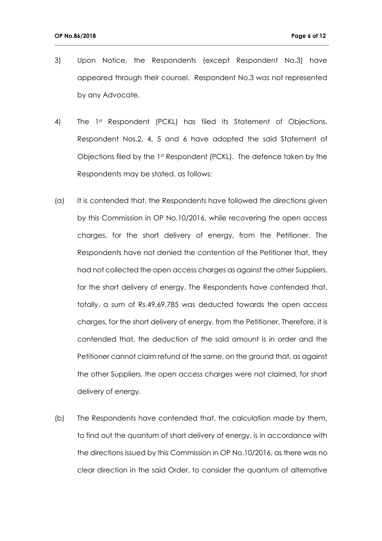3) Upon Notice, the Respondents (except Respondent No.3) have appeared through their counsel. Respondent No.3 was not represented by any Advocate.

- 4) The 1st Respondent (PCKL) has filed its Statement of Objections. Respondent Nos.2, 4, 5 and 6 have adopted the said Statement of Objections filed by the  $1<sup>st</sup>$  Respondent (PCKL). The defence taken by the Respondents may be stated, as follows:
- (a) It is contended that, the Respondents have followed the directions given by this Commission in OP No.10/2016, while recovering the open access charges, for the short delivery of energy, from the Petitioner. The Respondents have not denied the contention of the Petitioner that, they had not collected the open access charges as against the other Suppliers, for the short delivery of energy. The Respondents have contended that, totally, a sum of Rs.49,69,785 was deducted towards the open access charges, for the short delivery of energy, from the Petitioner. Therefore, it is contended that, the deduction of the said amount is in order and the Petitioner cannot claim refund of the same, on the ground that, as against the other Suppliers, the open access charges were not claimed, for short delivery of energy.
- (b) The Respondents have contended that, the calculation made by them, to find out the quantum of short delivery of energy, is in accordance with the directions issued by this Commission in OP No.10/2016, as there was no clear direction in the said Order, to consider the quantum of alternative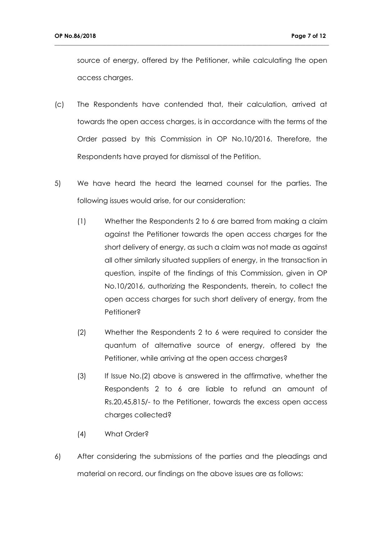source of energy, offered by the Petitioner, while calculating the open access charges.

- (c) The Respondents have contended that, their calculation, arrived at towards the open access charges, is in accordance with the terms of the Order passed by this Commission in OP No.10/2016. Therefore, the Respondents have prayed for dismissal of the Petition.
- 5) We have heard the heard the learned counsel for the parties. The following issues would arise, for our consideration:
	- (1) Whether the Respondents 2 to 6 are barred from making a claim against the Petitioner towards the open access charges for the short delivery of energy, as such a claim was not made as against all other similarly situated suppliers of energy, in the transaction in question, inspite of the findings of this Commission, given in OP No.10/2016, authorizing the Respondents, therein, to collect the open access charges for such short delivery of energy, from the Petitioner?
	- (2) Whether the Respondents 2 to 6 were required to consider the quantum of alternative source of energy, offered by the Petitioner, while arriving at the open access charges?
	- (3) If Issue No.(2) above is answered in the affirmative, whether the Respondents 2 to 6 are liable to refund an amount of Rs.20,45,815/- to the Petitioner, towards the excess open access charges collected?
	- (4) What Order?
- 6) After considering the submissions of the parties and the pleadings and material on record, our findings on the above issues are as follows: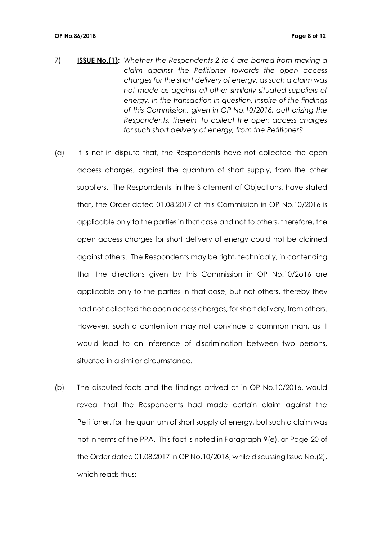7) **ISSUE No.(1):** *Whether the Respondents 2 to 6 are barred from making a claim against the Petitioner towards the open access charges for the short delivery of energy, as such a claim was not made as against all other similarly situated suppliers of energy, in the transaction in question, inspite of the findings of this Commission, given in OP No.10/2016, authorizing the Respondents, therein, to collect the open access charges for such short delivery of energy, from the Petitioner?*

- (a) It is not in dispute that, the Respondents have not collected the open access charges, against the quantum of short supply, from the other suppliers. The Respondents, in the Statement of Objections, have stated that, the Order dated 01.08.2017 of this Commission in OP No.10/2016 is applicable only to the parties in that case and not to others, therefore, the open access charges for short delivery of energy could not be claimed against others. The Respondents may be right, technically, in contending that the directions given by this Commission in OP No.10/2o16 are applicable only to the parties in that case, but not others, thereby they had not collected the open access charges, for short delivery, from others. However, such a contention may not convince a common man, as it would lead to an inference of discrimination between two persons, situated in a similar circumstance.
- (b) The disputed facts and the findings arrived at in OP No.10/2016, would reveal that the Respondents had made certain claim against the Petitioner, for the quantum of short supply of energy, but such a claim was not in terms of the PPA. This fact is noted in Paragraph-9(e), at Page-20 of the Order dated 01.08.2017 in OP No.10/2016, while discussing Issue No.(2), which reads thus: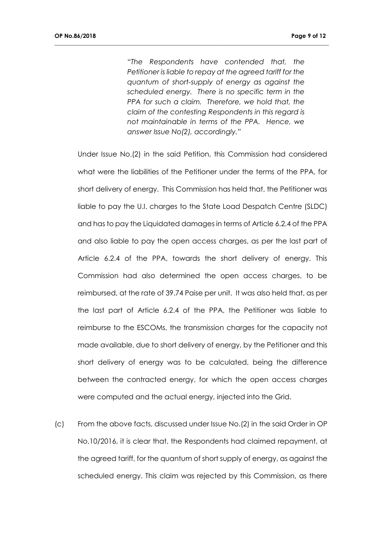*"The Respondents have contended that, the Petitioner is liable to repay at the agreed tariff for the quantum of short-supply of energy as against the scheduled energy. There is no specific term in the PPA for such a claim. Therefore, we hold that, the claim of the contesting Respondents in this regard is not maintainable in terms of the PPA. Hence, we answer Issue No(2), accordingly."*

**\_\_\_\_\_\_\_\_\_\_\_\_\_\_\_\_\_\_\_\_\_\_\_\_\_\_\_\_\_\_\_\_\_\_\_\_\_\_\_\_\_\_\_\_\_\_\_\_\_\_\_\_\_\_\_\_\_\_\_\_\_\_\_\_\_\_\_\_\_\_\_\_\_\_\_\_\_\_\_\_\_\_\_\_\_\_\_\_\_\_\_\_\_\_\_**

Under Issue No.(2) in the said Petition, this Commission had considered what were the liabilities of the Petitioner under the terms of the PPA, for short delivery of energy. This Commission has held that, the Petitioner was liable to pay the U.I. charges to the State Load Despatch Centre (SLDC) and has to pay the Liquidated damages in terms of Article 6.2.4 of the PPA and also liable to pay the open access charges, as per the last part of Article 6.2.4 of the PPA, towards the short delivery of energy. This Commission had also determined the open access charges, to be reimbursed, at the rate of 39.74 Paise per unit. It was also held that, as per the last part of Article 6.2.4 of the PPA, the Petitioner was liable to reimburse to the ESCOMs, the transmission charges for the capacity not made available, due to short delivery of energy, by the Petitioner and this short delivery of energy was to be calculated, being the difference between the contracted energy, for which the open access charges were computed and the actual energy, injected into the Grid.

(c) From the above facts, discussed under Issue No.(2) in the said Order in OP No.10/2016, it is clear that, the Respondents had claimed repayment, at the agreed tariff, for the quantum of short supply of energy, as against the scheduled energy. This claim was rejected by this Commission, as there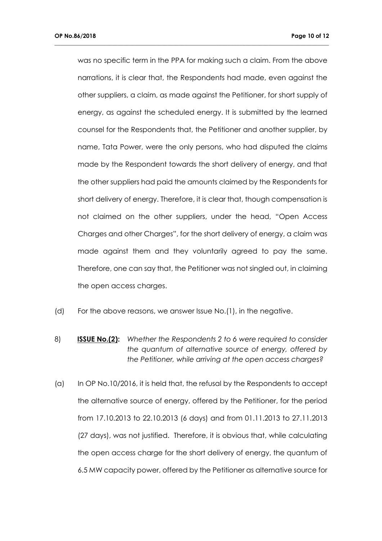was no specific term in the PPA for making such a claim. From the above narrations, it is clear that, the Respondents had made, even against the other suppliers, a claim, as made against the Petitioner, for short supply of energy, as against the scheduled energy. It is submitted by the learned counsel for the Respondents that, the Petitioner and another supplier, by name, Tata Power, were the only persons, who had disputed the claims made by the Respondent towards the short delivery of energy, and that the other suppliers had paid the amounts claimed by the Respondents for short delivery of energy. Therefore, it is clear that, though compensation is not claimed on the other suppliers, under the head, "Open Access Charges and other Charges", for the short delivery of energy, a claim was made against them and they voluntarily agreed to pay the same. Therefore, one can say that, the Petitioner was not singled out, in claiming the open access charges.

- (d) For the above reasons, we answer Issue No.(1), in the negative.
- 8) **ISSUE No.(2):** *Whether the Respondents 2 to 6 were required to consider the quantum of alternative source of energy, offered by the Petitioner, while arriving at the open access charges?*
- (a) In OP No.10/2016, it is held that, the refusal by the Respondents to accept the alternative source of energy, offered by the Petitioner, for the period from 17.10.2013 to 22.10.2013 (6 days) and from 01.11.2013 to 27.11.2013 (27 days), was not justified. Therefore, it is obvious that, while calculating the open access charge for the short delivery of energy, the quantum of 6.5 MW capacity power, offered by the Petitioner as alternative source for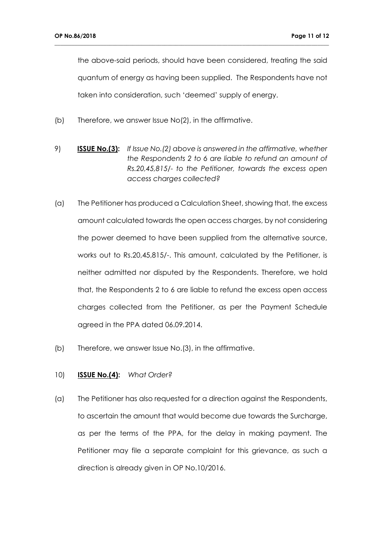the above-said periods, should have been considered, treating the said quantum of energy as having been supplied. The Respondents have not taken into consideration, such 'deemed' supply of energy.

**\_\_\_\_\_\_\_\_\_\_\_\_\_\_\_\_\_\_\_\_\_\_\_\_\_\_\_\_\_\_\_\_\_\_\_\_\_\_\_\_\_\_\_\_\_\_\_\_\_\_\_\_\_\_\_\_\_\_\_\_\_\_\_\_\_\_\_\_\_\_\_\_\_\_\_\_\_\_\_\_\_\_\_\_\_\_\_\_\_\_\_\_\_\_\_**

- (b) Therefore, we answer Issue No(2), in the affirmative.
- 9) **ISSUE No.(3):** *If Issue No.(2) above is answered in the affirmative, whether the Respondents 2 to 6 are liable to refund an amount of Rs.20,45,815/- to the Petitioner, towards the excess open access charges collected?*
- (a) The Petitioner has produced a Calculation Sheet, showing that, the excess amount calculated towards the open access charges, by not considering the power deemed to have been supplied from the alternative source, works out to Rs.20,45,815/-. This amount, calculated by the Petitioner, is neither admitted nor disputed by the Respondents. Therefore, we hold that, the Respondents 2 to 6 are liable to refund the excess open access charges collected from the Petitioner, as per the Payment Schedule agreed in the PPA dated 06.09.2014.
- (b) Therefore, we answer Issue No.(3), in the affirmative.

#### 10) **ISSUE No.(4):** *What Order?*

(a) The Petitioner has also requested for a direction against the Respondents, to ascertain the amount that would become due towards the Surcharge, as per the terms of the PPA, for the delay in making payment. The Petitioner may file a separate complaint for this grievance, as such a direction is already given in OP No.10/2016.